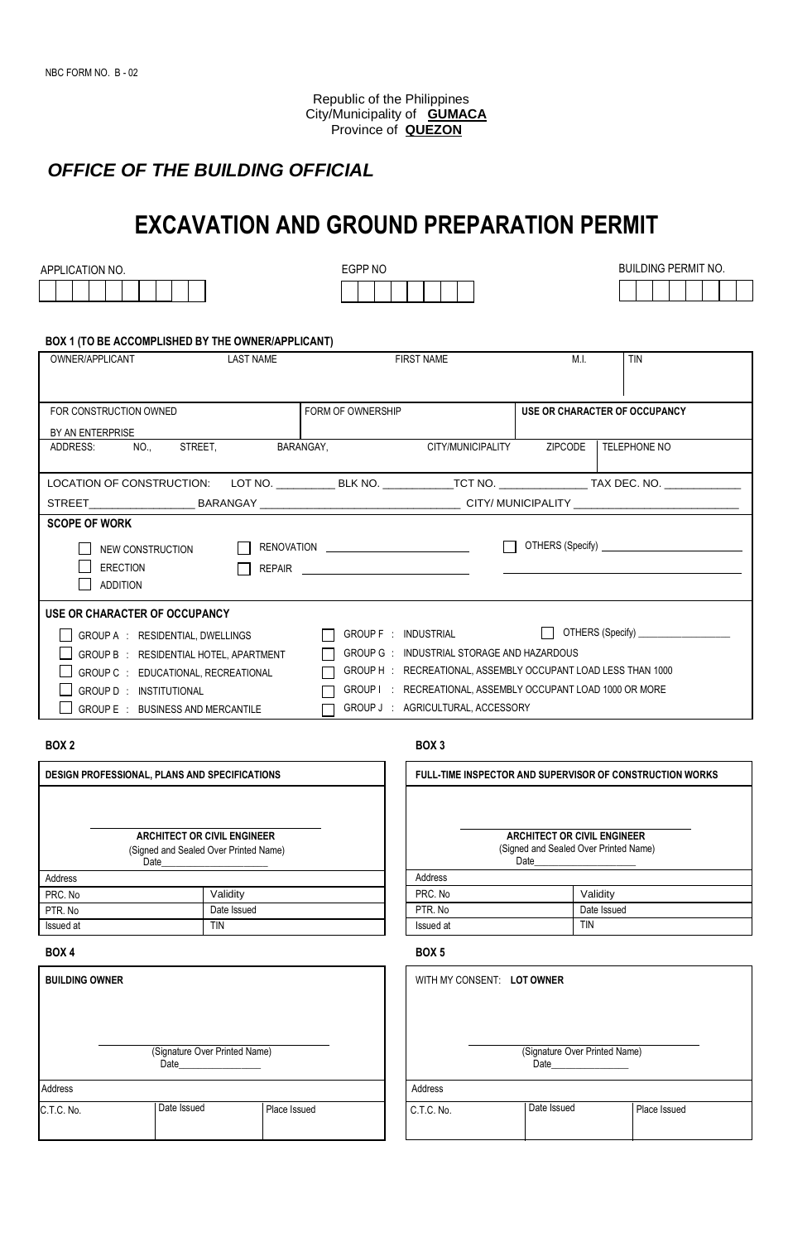Republic of the Philippines City/Municipality of **GUMACA** Province of **QUEZON**

# *OFFICE OF THE BUILDING OFFICIAL*

# **EXCAVATION AND GROUND PREPARATION PERMIT**

APPLICATION NO. ASSESSED A REGRAND POSSESSED FOR A REGRAND POSSESSED ASSESSED. HTML NO. A REGRAND POSSESSED ASSESSED.

| BUILDING PERMIT NO. |  |  |  |  |  |  |  |
|---------------------|--|--|--|--|--|--|--|
|                     |  |  |  |  |  |  |  |

### **BOX 1 (TO BE ACCOMPLISHED BY THE OWNER/APPLICANT)**

| OWNER/APPLICANT                                                                                               | <b>LAST NAME</b> |                   | <b>FIRST NAME</b>                                                                                                    | M.L            | <b>TIN</b>                             |
|---------------------------------------------------------------------------------------------------------------|------------------|-------------------|----------------------------------------------------------------------------------------------------------------------|----------------|----------------------------------------|
|                                                                                                               |                  |                   |                                                                                                                      |                |                                        |
| FOR CONSTRUCTION OWNED                                                                                        |                  | FORM OF OWNERSHIP |                                                                                                                      |                | USE OR CHARACTER OF OCCUPANCY          |
|                                                                                                               |                  |                   |                                                                                                                      |                |                                        |
| BY AN ENTERPRISE                                                                                              |                  |                   |                                                                                                                      |                |                                        |
| NO.,<br>ADDRESS:                                                                                              | STREET.          | BARANGAY,         | CITY/MUNICIPALITY                                                                                                    | <b>ZIPCODE</b> | TELEPHONE NO                           |
|                                                                                                               |                  |                   |                                                                                                                      |                |                                        |
| LOCATION OF CONSTRUCTION: LOT NO. __________BLK NO. ___________TCT NO. ______________TAX DEC. NO. ___________ |                  |                   |                                                                                                                      |                |                                        |
|                                                                                                               |                  |                   |                                                                                                                      |                |                                        |
| <b>SCOPE OF WORK</b>                                                                                          |                  |                   |                                                                                                                      |                |                                        |
| NEW CONSTRUCTION                                                                                              |                  |                   |                                                                                                                      |                |                                        |
|                                                                                                               |                  |                   |                                                                                                                      |                |                                        |
|                                                                                                               |                  |                   |                                                                                                                      |                |                                        |
| <b>ERECTION</b>                                                                                               | <b>REPAIR</b>    |                   | <u> Alexandria de la contrada de la contrada de la contrada de la contrada de la contrada de la contrada de la c</u> |                |                                        |
| <b>ADDITION</b>                                                                                               |                  |                   |                                                                                                                      |                |                                        |
| USE OR CHARACTER OF OCCUPANCY                                                                                 |                  |                   |                                                                                                                      |                |                                        |
| GROUP A : RESIDENTIAL, DWELLINGS                                                                              |                  |                   | GROUP F : INDUSTRIAL                                                                                                 | $\mathbf{1}$   | OTHERS (Specify) <b>CONSUMPLE 2014</b> |
| GROUP B : RESIDENTIAL HOTEL, APARTMENT                                                                        |                  |                   | GROUP G : INDUSTRIAL STORAGE AND HAZARDOUS                                                                           |                |                                        |
| GROUP C : EDUCATIONAL, RECREATIONAL                                                                           |                  |                   | GROUP H : RECREATIONAL, ASSEMBLY OCCUPANT LOAD LESS THAN 1000                                                        |                |                                        |
| GROUP D: INSTITUTIONAL                                                                                        |                  |                   | GROUP I : RECREATIONAL, ASSEMBLY OCCUPANT LOAD 1000 OR MORE                                                          |                |                                        |

### **BOX 2**

| <b>DESIGN PROFESSIONAL, PLANS AND SPECIFICATIONS</b> |                                       |  |  | <b>FULL-T</b> |
|------------------------------------------------------|---------------------------------------|--|--|---------------|
|                                                      |                                       |  |  |               |
|                                                      |                                       |  |  |               |
|                                                      | <b>ARCHITECT OR CIVIL ENGINEER</b>    |  |  |               |
|                                                      | (Signed and Sealed Over Printed Name) |  |  |               |
|                                                      | Date                                  |  |  |               |
| Address                                              |                                       |  |  | Address       |
| PRC. No                                              | Validity                              |  |  | PRC. No       |
| PTR. No                                              | Date Issued                           |  |  | PTR. No       |
| Issued at                                            | tin                                   |  |  | Issued a      |
|                                                      |                                       |  |  |               |

| <b>BUILDING OWNER</b> |                                                                                                                                                                                                                                                                 |              |            | WITH MY CONSENT: LOT OWNER |
|-----------------------|-----------------------------------------------------------------------------------------------------------------------------------------------------------------------------------------------------------------------------------------------------------------|--------------|------------|----------------------------|
|                       | (Signature Over Printed Name)<br>Date and the state of the state of the state of the state of the state of the state of the state of the state of the state of the state of the state of the state of the state of the state of the state of the state of the s |              |            | (Signature<br>__ Date      |
| Address               |                                                                                                                                                                                                                                                                 |              | Address    |                            |
| C.T.C. No.            | Date Issued                                                                                                                                                                                                                                                     | Place Issued | C.T.C. No. | Date Issu                  |

### **BOX 3**

| FULL-TIME INSPECTOR AND SUPERVISOR OF CONSTRUCTION WORKS |             |  |  |  |
|----------------------------------------------------------|-------------|--|--|--|
|                                                          |             |  |  |  |
|                                                          |             |  |  |  |
|                                                          |             |  |  |  |
| <b>ARCHITECT OR CIVIL ENGINEER</b>                       |             |  |  |  |
| (Signed and Sealed Over Printed Name)                    |             |  |  |  |
| Date                                                     |             |  |  |  |
| Address                                                  |             |  |  |  |
| PRC. No                                                  | Validity    |  |  |  |
| PTR. No                                                  | Date Issued |  |  |  |
| Issued at                                                | TIN         |  |  |  |

### **BOX 4 BOX 5**

| WITH MY CONSENT: LOT OWNER            |             |              |  |  |
|---------------------------------------|-------------|--------------|--|--|
|                                       |             |              |  |  |
|                                       |             |              |  |  |
| (Signature Over Printed Name)<br>Date |             |              |  |  |
| Address                               |             |              |  |  |
| C.T.C. No.                            | Date Issued | Place Issued |  |  |